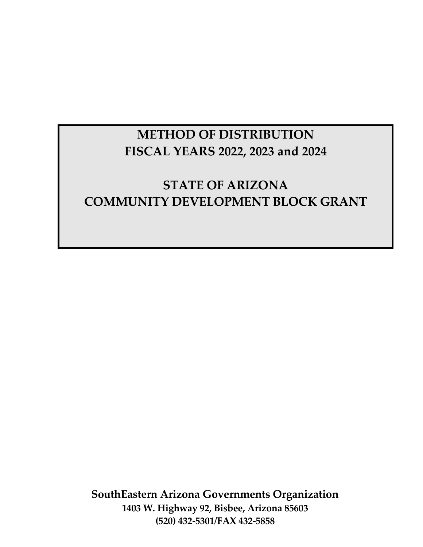# **METHOD OF DISTRIBUTION FISCAL YEARS 2022, 2023 and 2024**

# **STATE OF ARIZONA COMMUNITY DEVELOPMENT BLOCK GRANT**

**SouthEastern Arizona Governments Organization 1403 W. Highway 92, Bisbee, Arizona 85603 (520) 432-5301/FAX 432-5858**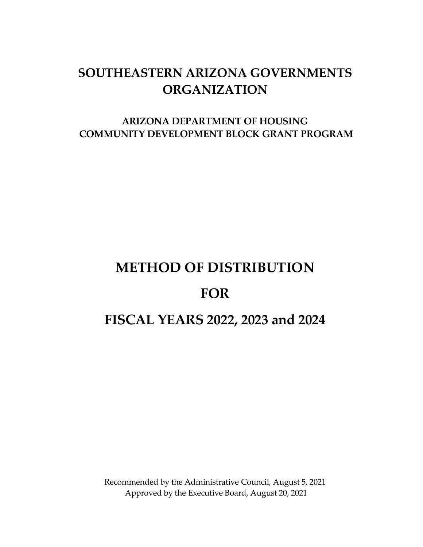# **SOUTHEASTERN ARIZONA GOVERNMENTS ORGANIZATION**

# **ARIZONA DEPARTMENT OF HOUSING COMMUNITY DEVELOPMENT BLOCK GRANT PROGRAM**

# **METHOD OF DISTRIBUTION FOR FISCAL YEARS 2022, 2023 and 2024**

Recommended by the Administrative Council, August 5, 2021 Approved by the Executive Board, August 20, 2021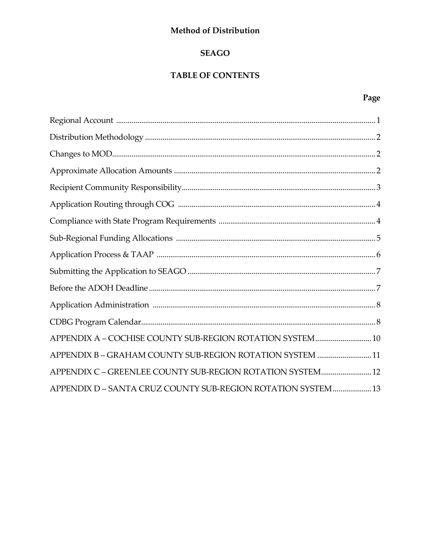#### Method of Distribution

#### **SEAGO**

#### **TABLE OF CONTENTS**

# Page

| APPENDIX A - COCHISE COUNTY SUB-REGION ROTATION SYSTEM 10    |  |
|--------------------------------------------------------------|--|
| APPENDIX B-GRAHAM COUNTY SUB-REGION ROTATION SYSTEM 11       |  |
| APPENDIX C - GREENLEE COUNTY SUB-REGION ROTATION SYSTEM 12   |  |
| APPENDIX D - SANTA CRUZ COUNTY SUB-REGION ROTATION SYSTEM 13 |  |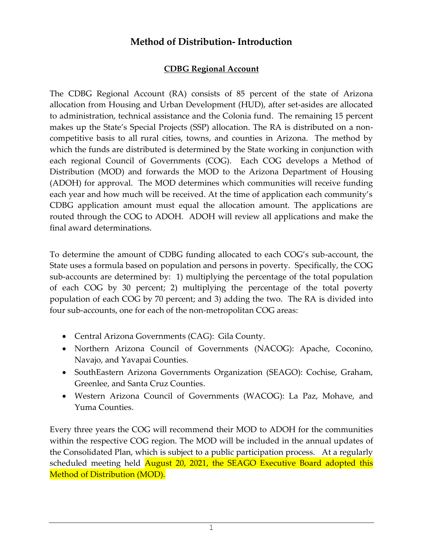# **Method of Distribution- Introduction**

#### **CDBG Regional Account**

The CDBG Regional Account (RA) consists of 85 percent of the state of Arizona allocation from Housing and Urban Development (HUD), after set-asides are allocated to administration, technical assistance and the Colonia fund. The remaining 15 percent makes up the State's Special Projects (SSP) allocation. The RA is distributed on a noncompetitive basis to all rural cities, towns, and counties in Arizona. The method by which the funds are distributed is determined by the State working in conjunction with each regional Council of Governments (COG). Each COG develops a Method of Distribution (MOD) and forwards the MOD to the Arizona Department of Housing (ADOH) for approval. The MOD determines which communities will receive funding each year and how much will be received. At the time of application each community's CDBG application amount must equal the allocation amount. The applications are routed through the COG to ADOH. ADOH will review all applications and make the final award determinations.

To determine the amount of CDBG funding allocated to each COG's sub-account, the State uses a formula based on population and persons in poverty. Specifically, the COG sub-accounts are determined by: 1) multiplying the percentage of the total population of each COG by 30 percent; 2) multiplying the percentage of the total poverty population of each COG by 70 percent; and 3) adding the two. The RA is divided into four sub-accounts, one for each of the non-metropolitan COG areas:

- Central Arizona Governments (CAG): Gila County.
- Northern Arizona Council of Governments (NACOG): Apache, Coconino, Navajo, and Yavapai Counties.
- SouthEastern Arizona Governments Organization (SEAGO): Cochise, Graham, Greenlee, and Santa Cruz Counties.
- Western Arizona Council of Governments (WACOG): La Paz, Mohave, and Yuma Counties.

Every three years the COG will recommend their MOD to ADOH for the communities within the respective COG region. The MOD will be included in the annual updates of the Consolidated Plan, which is subject to a public participation process. At a regularly scheduled meeting held August 20, 2021, the SEAGO Executive Board adopted this Method of Distribution (MOD).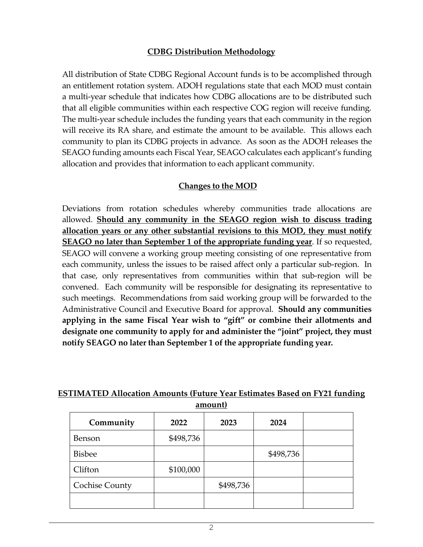#### **CDBG Distribution Methodology**

All distribution of State CDBG Regional Account funds is to be accomplished through an entitlement rotation system. ADOH regulations state that each MOD must contain a multi-year schedule that indicates how CDBG allocations are to be distributed such that all eligible communities within each respective COG region will receive funding. The multi-year schedule includes the funding years that each community in the region will receive its RA share, and estimate the amount to be available. This allows each community to plan its CDBG projects in advance. As soon as the ADOH releases the SEAGO funding amounts each Fiscal Year, SEAGO calculates each applicant's funding allocation and provides that information to each applicant community.

#### **Changes to the MOD**

Deviations from rotation schedules whereby communities trade allocations are allowed. **Should any community in the SEAGO region wish to discuss trading allocation years or any other substantial revisions to this MOD, they must notify SEAGO no later than September 1 of the appropriate funding year**. If so requested, SEAGO will convene a working group meeting consisting of one representative from each community, unless the issues to be raised affect only a particular sub-region. In that case, only representatives from communities within that sub-region will be convened. Each community will be responsible for designating its representative to such meetings. Recommendations from said working group will be forwarded to the Administrative Council and Executive Board for approval. **Should any communities applying in the same Fiscal Year wish to "gift" or combine their allotments and designate one community to apply for and administer the "joint" project, they must notify SEAGO no later than September 1 of the appropriate funding year.**

#### **ESTIMATED Allocation Amounts (Future Year Estimates Based on FY21 funding amount)**

| Community             | 2022      | 2023      | 2024      |
|-----------------------|-----------|-----------|-----------|
| <b>Benson</b>         | \$498,736 |           |           |
| <b>Bisbee</b>         |           |           | \$498,736 |
| Clifton               | \$100,000 |           |           |
| <b>Cochise County</b> |           | \$498,736 |           |
|                       |           |           |           |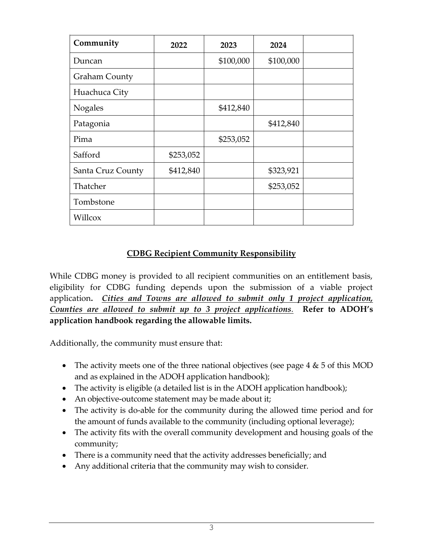| Community            | 2022      | 2023      | 2024      |  |
|----------------------|-----------|-----------|-----------|--|
| Duncan               |           | \$100,000 | \$100,000 |  |
| <b>Graham County</b> |           |           |           |  |
| Huachuca City        |           |           |           |  |
| <b>Nogales</b>       |           | \$412,840 |           |  |
| Patagonia            |           |           | \$412,840 |  |
| Pima                 |           | \$253,052 |           |  |
| Safford              | \$253,052 |           |           |  |
| Santa Cruz County    | \$412,840 |           | \$323,921 |  |
| Thatcher             |           |           | \$253,052 |  |
| Tombstone            |           |           |           |  |
| Willcox              |           |           |           |  |

#### **CDBG Recipient Community Responsibility**

While CDBG money is provided to all recipient communities on an entitlement basis, eligibility for CDBG funding depends upon the submission of a viable project application**.** *Cities and Towns are allowed to submit only 1 project application, Counties are allowed to submit up to 3 project applications.* **Refer to ADOH's application handbook regarding the allowable limits.**

Additionally, the community must ensure that:

- The activity meets one of the three national objectives (see page  $4 \& 5$  of this MOD and as explained in the ADOH application handbook);
- The activity is eligible (a detailed list is in the ADOH application handbook);
- An objective-outcome statement may be made about it;
- The activity is do-able for the community during the allowed time period and for the amount of funds available to the community (including optional leverage);
- The activity fits with the overall community development and housing goals of the community;
- There is a community need that the activity addresses beneficially; and
- Any additional criteria that the community may wish to consider.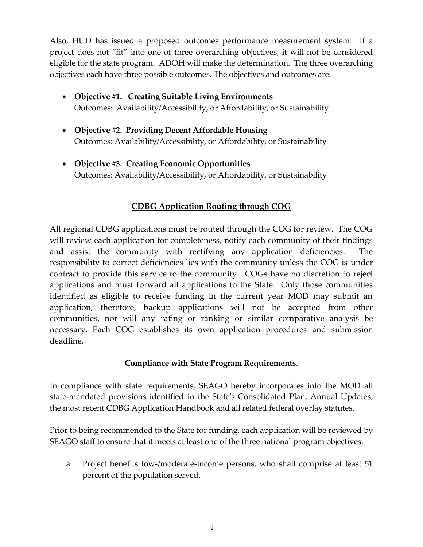Also, HUD has issued a proposed outcomes performance measurement system. If a project does not "fit" into one of three overarching objectives, it will not be considered eligible for the state program. ADOH will make the determination. The three overarching objectives each have three possible outcomes. The objectives and outcomes are:

- **Objective #1. Creating Suitable Living Environments** Outcomes: Availability/Accessibility, or Affordability, or Sustainability
- **Objective #2. Providing Decent Affordable Housing** Outcomes: Availability/Accessibility, or Affordability, or Sustainability
- **Objective #3. Creating Economic Opportunities** Outcomes: Availability/Accessibility, or Affordability, or Sustainability

# **CDBG Application Routing through COG**

All regional CDBG applications must be routed through the COG for review. The COG will review each application for completeness, notify each community of their findings and assist the community with rectifying any application deficiencies. The responsibility to correct deficiencies lies with the community unless the COG is under contract to provide this service to the community. COGs have no discretion to reject applications and must forward all applications to the State. Only those communities identified as eligible to receive funding in the current year MOD may submit an application, therefore, backup applications will not be accepted from other communities, nor will any rating or ranking or similar comparative analysis be necessary. Each COG establishes its own application procedures and submission deadline.

# **Compliance with State Program Requirements**.

 In compliance with state requirements, SEAGO hereby incorporates into the MOD all state-mandated provisions identified in the State's Consolidated Plan, Annual Updates, the most recent CDBG Application Handbook and all related federal overlay statutes.

Prior to being recommended to the State for funding, each application will be reviewed by SEAGO staff to ensure that it meets at least one of the three national program objectives:

a. Project benefits low-/moderate-income persons, who shall comprise at least 51 percent of the population served.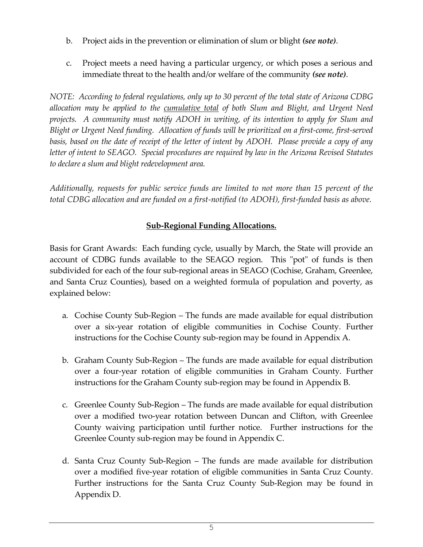- b. Project aids in the prevention or elimination of slum or blight *(see note)*.
- c. Project meets a need having a particular urgency, or which poses a serious and immediate threat to the health and/or welfare of the community *(see note)*.

*NOTE: According to federal regulations, only up to 30 percent of the total state of Arizona CDBG allocation may be applied to the cumulative total of both Slum and Blight, and Urgent Need projects. A community must notify ADOH in writing, of its intention to apply for Slum and Blight or Urgent Need funding. Allocation of funds will be prioritized on a first-come, first-served*  basis, based on the date of receipt of the letter of intent by ADOH. Please provide a copy of any *letter of intent to SEAGO. Special procedures are required by law in the Arizona Revised Statutes to declare a slum and blight redevelopment area.* 

*Additionally, requests for public service funds are limited to not more than 15 percent of the total CDBG allocation and are funded on a first-notified (to ADOH), first-funded basis as above.*

#### **Sub-Regional Funding Allocations.**

Basis for Grant Awards: Each funding cycle, usually by March, the State will provide an account of CDBG funds available to the SEAGO region. This "pot" of funds is then subdivided for each of the four sub-regional areas in SEAGO (Cochise, Graham, Greenlee, and Santa Cruz Counties), based on a weighted formula of population and poverty, as explained below:

- a. Cochise County Sub-Region The funds are made available for equal distribution over a six-year rotation of eligible communities in Cochise County. Further instructions for the Cochise County sub-region may be found in Appendix A.
- b. Graham County Sub-Region The funds are made available for equal distribution over a four-year rotation of eligible communities in Graham County. Further instructions for the Graham County sub-region may be found in Appendix B.
- c. Greenlee County Sub-Region The funds are made available for equal distribution over a modified two-year rotation between Duncan and Clifton, with Greenlee County waiving participation until further notice. Further instructions for the Greenlee County sub-region may be found in Appendix C.
- d. Santa Cruz County Sub-Region The funds are made available for distribution over a modified five-year rotation of eligible communities in Santa Cruz County. Further instructions for the Santa Cruz County Sub-Region may be found in Appendix D.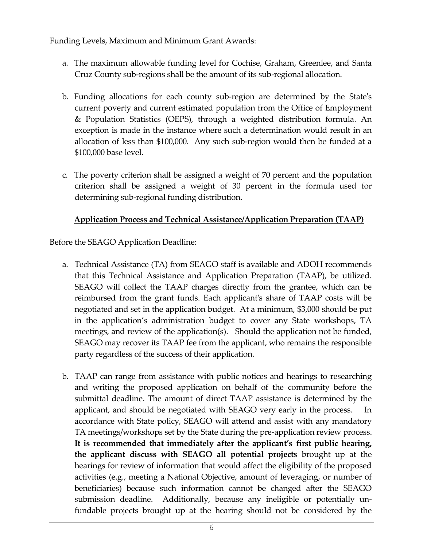Funding Levels, Maximum and Minimum Grant Awards:

- a. The maximum allowable funding level for Cochise, Graham, Greenlee, and Santa Cruz County sub-regions shall be the amount of its sub-regional allocation.
- b. Funding allocations for each county sub-region are determined by the State's current poverty and current estimated population from the Office of Employment & Population Statistics (OEPS), through a weighted distribution formula. An exception is made in the instance where such a determination would result in an allocation of less than \$100,000. Any such sub-region would then be funded at a \$100,000 base level.
- c. The poverty criterion shall be assigned a weight of 70 percent and the population criterion shall be assigned a weight of 30 percent in the formula used for determining sub-regional funding distribution.

# **Application Process and Technical Assistance/Application Preparation (TAAP)**

Before the SEAGO Application Deadline:

- a. Technical Assistance (TA) from SEAGO staff is available and ADOH recommends that this Technical Assistance and Application Preparation (TAAP), be utilized. SEAGO will collect the TAAP charges directly from the grantee, which can be reimbursed from the grant funds. Each applicant's share of TAAP costs will be negotiated and set in the application budget. At a minimum, \$3,000 should be put in the application's administration budget to cover any State workshops, TA meetings, and review of the application(s). Should the application not be funded, SEAGO may recover its TAAP fee from the applicant, who remains the responsible party regardless of the success of their application.
- b. TAAP can range from assistance with public notices and hearings to researching and writing the proposed application on behalf of the community before the submittal deadline. The amount of direct TAAP assistance is determined by the applicant, and should be negotiated with SEAGO very early in the process. In accordance with State policy, SEAGO will attend and assist with any mandatory TA meetings/workshops set by the State during the pre-application review process. **It is recommended that immediately after the applicant's first public hearing, the applicant discuss with SEAGO all potential projects** brought up at the hearings for review of information that would affect the eligibility of the proposed activities (e.g., meeting a National Objective, amount of leveraging, or number of beneficiaries) because such information cannot be changed after the SEAGO submission deadline. Additionally, because any ineligible or potentially unfundable projects brought up at the hearing should not be considered by the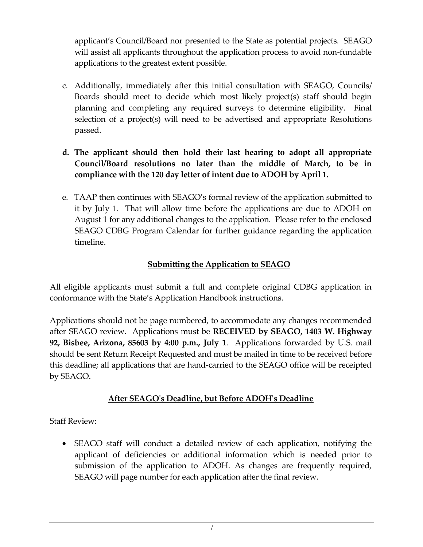applicant's Council/Board nor presented to the State as potential projects. SEAGO will assist all applicants throughout the application process to avoid non-fundable applications to the greatest extent possible.

- c. Additionally, immediately after this initial consultation with SEAGO, Councils/ Boards should meet to decide which most likely project(s) staff should begin planning and completing any required surveys to determine eligibility. Final selection of a project(s) will need to be advertised and appropriate Resolutions passed.
- **d. The applicant should then hold their last hearing to adopt all appropriate Council/Board resolutions no later than the middle of March, to be in compliance with the 120 day letter of intent due to ADOH by April 1.**
- e. TAAP then continues with SEAGO's formal review of the application submitted to it by July 1. That will allow time before the applications are due to ADOH on August 1 for any additional changes to the application. Please refer to the enclosed SEAGO CDBG Program Calendar for further guidance regarding the application timeline.

#### **Submitting the Application to SEAGO**

All eligible applicants must submit a full and complete original CDBG application in conformance with the State's Application Handbook instructions.

Applications should not be page numbered, to accommodate any changes recommended after SEAGO review. Applications must be **RECEIVED by SEAGO, 1403 W. Highway 92, Bisbee, Arizona, 85603 by 4:00 p.m., July 1**. Applications forwarded by U.S. mail should be sent Return Receipt Requested and must be mailed in time to be received before this deadline; all applications that are hand-carried to the SEAGO office will be receipted by SEAGO.

# **After SEAGO's Deadline, but Before ADOH's Deadline**

Staff Review:

 SEAGO staff will conduct a detailed review of each application, notifying the applicant of deficiencies or additional information which is needed prior to submission of the application to ADOH. As changes are frequently required, SEAGO will page number for each application after the final review.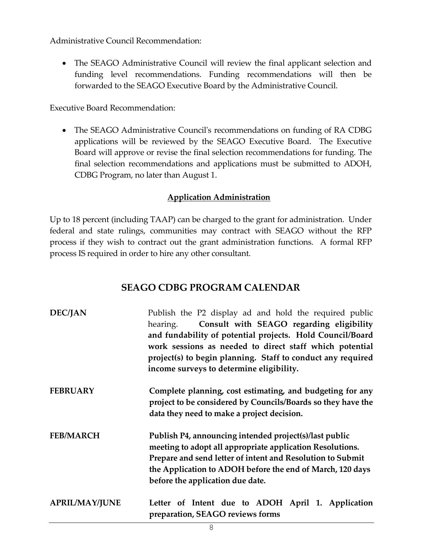Administrative Council Recommendation:

 The SEAGO Administrative Council will review the final applicant selection and funding level recommendations. Funding recommendations will then be forwarded to the SEAGO Executive Board by the Administrative Council.

Executive Board Recommendation:

 The SEAGO Administrative Council's recommendations on funding of RA CDBG applications will be reviewed by the SEAGO Executive Board. The Executive Board will approve or revise the final selection recommendations for funding. The final selection recommendations and applications must be submitted to ADOH, CDBG Program, no later than August 1.

#### **Application Administration**

Up to 18 percent (including TAAP) can be charged to the grant for administration. Under federal and state rulings, communities may contract with SEAGO without the RFP process if they wish to contract out the grant administration functions. A formal RFP process IS required in order to hire any other consultant.

# **SEAGO CDBG PROGRAM CALENDAR**

| <b>DEC/JAN</b>        | Publish the P2 display ad and hold the required public<br>Consult with SEAGO regarding eligibility<br>hearing.<br>and fundability of potential projects. Hold Council/Board<br>work sessions as needed to direct staff which potential<br>project(s) to begin planning. Staff to conduct any required<br>income surveys to determine eligibility. |
|-----------------------|---------------------------------------------------------------------------------------------------------------------------------------------------------------------------------------------------------------------------------------------------------------------------------------------------------------------------------------------------|
| <b>FEBRUARY</b>       | Complete planning, cost estimating, and budgeting for any<br>project to be considered by Councils/Boards so they have the<br>data they need to make a project decision.                                                                                                                                                                           |
| <b>FEB/MARCH</b>      | Publish P4, announcing intended project(s)/last public<br>meeting to adopt all appropriate application Resolutions.<br>Prepare and send letter of intent and Resolution to Submit<br>the Application to ADOH before the end of March, 120 days<br>before the application due date.                                                                |
| <b>APRIL/MAY/JUNE</b> | Letter of Intent due to ADOH April 1. Application<br>preparation, SEAGO reviews forms                                                                                                                                                                                                                                                             |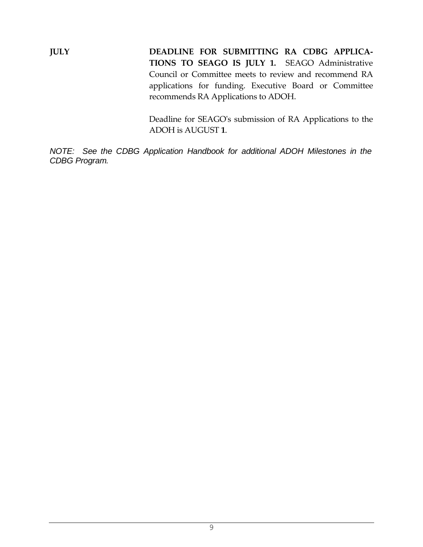**JULY DEADLINE FOR SUBMITTING RA CDBG APPLICA-TIONS TO SEAGO IS JULY 1.** SEAGO Administrative Council or Committee meets to review and recommend RA applications for funding. Executive Board or Committee recommends RA Applications to ADOH.

> Deadline for SEAGO's submission of RA Applications to the ADOH is AUGUST **1**.

*NOTE: See the CDBG Application Handbook for additional ADOH Milestones in the CDBG Program.*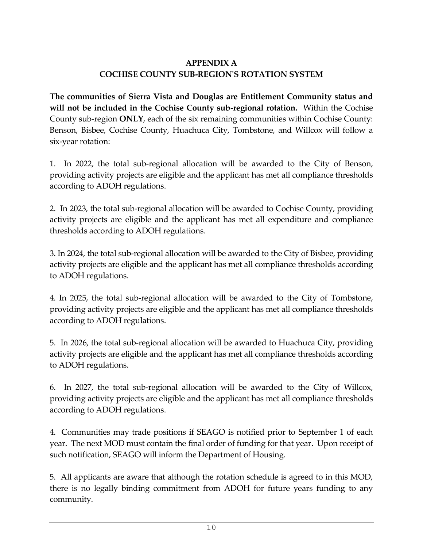# **APPENDIX A COCHISE COUNTY SUB-REGION'S ROTATION SYSTEM**

**The communities of Sierra Vista and Douglas are Entitlement Community status and will not be included in the Cochise County sub-regional rotation.** Within the Cochise County sub-region **ONLY**, each of the six remaining communities within Cochise County: Benson, Bisbee, Cochise County, Huachuca City, Tombstone, and Willcox will follow a six-year rotation:

1. In 2022, the total sub-regional allocation will be awarded to the City of Benson, providing activity projects are eligible and the applicant has met all compliance thresholds according to ADOH regulations.

2. In 2023, the total sub-regional allocation will be awarded to Cochise County, providing activity projects are eligible and the applicant has met all expenditure and compliance thresholds according to ADOH regulations.

3. In 2024, the total sub-regional allocation will be awarded to the City of Bisbee, providing activity projects are eligible and the applicant has met all compliance thresholds according to ADOH regulations.

4. In 2025, the total sub-regional allocation will be awarded to the City of Tombstone, providing activity projects are eligible and the applicant has met all compliance thresholds according to ADOH regulations.

5. In 2026, the total sub-regional allocation will be awarded to Huachuca City, providing activity projects are eligible and the applicant has met all compliance thresholds according to ADOH regulations.

6. In 2027, the total sub-regional allocation will be awarded to the City of Willcox, providing activity projects are eligible and the applicant has met all compliance thresholds according to ADOH regulations.

4. Communities may trade positions if SEAGO is notified prior to September 1 of each year. The next MOD must contain the final order of funding for that year. Upon receipt of such notification, SEAGO will inform the Department of Housing.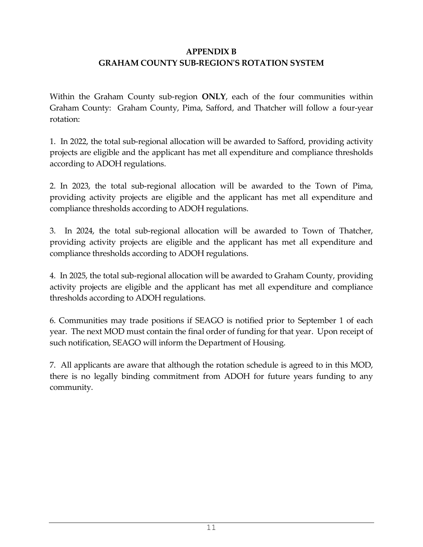## **APPENDIX B GRAHAM COUNTY SUB-REGION'S ROTATION SYSTEM**

Within the Graham County sub-region **ONLY**, each of the four communities within Graham County: Graham County, Pima, Safford, and Thatcher will follow a four-year rotation:

1. In 2022, the total sub-regional allocation will be awarded to Safford, providing activity projects are eligible and the applicant has met all expenditure and compliance thresholds according to ADOH regulations.

2. In 2023, the total sub-regional allocation will be awarded to the Town of Pima, providing activity projects are eligible and the applicant has met all expenditure and compliance thresholds according to ADOH regulations.

3. In 2024, the total sub-regional allocation will be awarded to Town of Thatcher, providing activity projects are eligible and the applicant has met all expenditure and compliance thresholds according to ADOH regulations.

4. In 2025, the total sub-regional allocation will be awarded to Graham County, providing activity projects are eligible and the applicant has met all expenditure and compliance thresholds according to ADOH regulations.

6. Communities may trade positions if SEAGO is notified prior to September 1 of each year. The next MOD must contain the final order of funding for that year. Upon receipt of such notification, SEAGO will inform the Department of Housing.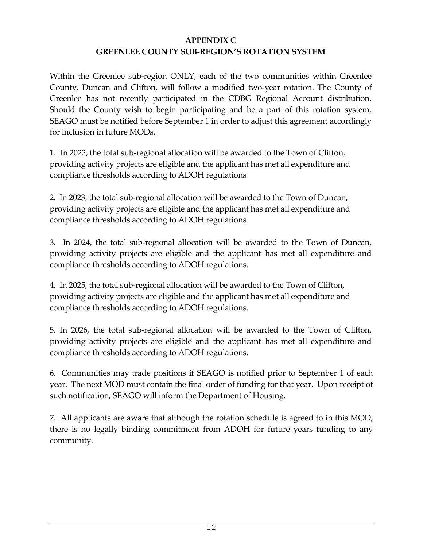#### **APPENDIX C GREENLEE COUNTY SUB-REGION'S ROTATION SYSTEM**

Within the Greenlee sub-region ONLY, each of the two communities within Greenlee County, Duncan and Clifton, will follow a modified two-year rotation. The County of Greenlee has not recently participated in the CDBG Regional Account distribution. Should the County wish to begin participating and be a part of this rotation system, SEAGO must be notified before September 1 in order to adjust this agreement accordingly for inclusion in future MODs.

1.In 2022, the total sub-regional allocation will be awarded to the Town of Clifton, providing activity projects are eligible and the applicant has met all expenditure and compliance thresholds according to ADOH regulations

2. In 2023, the total sub-regional allocation will be awarded to the Town of Duncan, providing activity projects are eligible and the applicant has met all expenditure and compliance thresholds according to ADOH regulations

3. In 2024, the total sub-regional allocation will be awarded to the Town of Duncan, providing activity projects are eligible and the applicant has met all expenditure and compliance thresholds according to ADOH regulations.

4. In 2025, the total sub-regional allocation will be awarded to the Town of Clifton, providing activity projects are eligible and the applicant has met all expenditure and compliance thresholds according to ADOH regulations.

5. In 2026, the total sub-regional allocation will be awarded to the Town of Clifton, providing activity projects are eligible and the applicant has met all expenditure and compliance thresholds according to ADOH regulations.

6. Communities may trade positions if SEAGO is notified prior to September 1 of each year. The next MOD must contain the final order of funding for that year. Upon receipt of such notification, SEAGO will inform the Department of Housing.